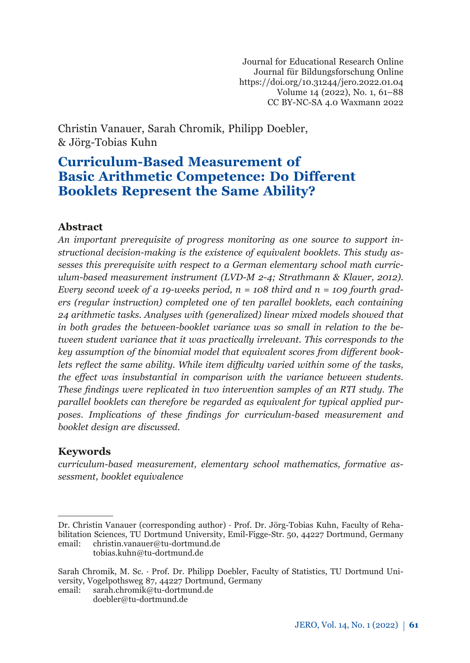Journal for Educational Research Online Journal für Bildungsforschung Online https://doi.org/10.31244/jero.2022.01.04 Volume 14 (2022), No. 1, 61–88 CC BY-NC-SA 4.0 Waxmann 2022

Christin Vanauer, Sarah Chromik, Philipp Doebler, & Jörg-Tobias Kuhn

# **Curriculum-Based Measurement of Basic Arithmetic Competence: Do Different Booklets Represent the Same Ability?**

## **Abstract***<sup>1</sup>*

*An important prerequisite of progress monitoring as one source to support instructional decision-making is the existence of equivalent booklets. This study assesses this prerequisite with respect to a German elementary school math curriculum-based measurement instrument (LVD-M 2-4; Strathmann & Klauer, 2012). Every second week of a 19-weeks period, n = 108 third and n = 109 fourth graders (regular instruction) completed one of ten parallel booklets, each containing 24 arithmetic tasks. Analyses with (generalized) linear mixed models showed that in both grades the between-booklet variance was so small in relation to the between student variance that it was practically irrelevant. This corresponds to the key assumption of the binomial model that equivalent scores from different booklets reflect the same ability. While item difficulty varied within some of the tasks, the effect was insubstantial in comparison with the variance between students. These findings were replicated in two intervention samples of an RTI study. The parallel booklets can therefore be regarded as equivalent for typical applied purposes. Implications of these findings for curriculum-based measurement and booklet design are discussed.*

## **Keywords**

*curriculum-based measurement, elementary school mathematics, formative assessment, booklet equivalence*

Dr. Christin Vanauer (corresponding author) · Prof. Dr. Jörg-Tobias Kuhn, Faculty of Rehabilitation Sciences, TU Dortmund University, Emil-Figge-Str. 50, 44227 Dortmund, Germany email: christin.vanauer@tu-dortmund.de tobias.kuhn@tu-dortmund.de

Sarah Chromik, M. Sc. · Prof. Dr. Philipp Doebler, Faculty of Statistics, TU Dortmund University, Vogelpothsweg 87, 44227 Dortmund, Germany<br>email: sarah.chromik@tu-dortmund.de sarah.chromik@tu-dortmund.de

doebler@tu-dortmund.de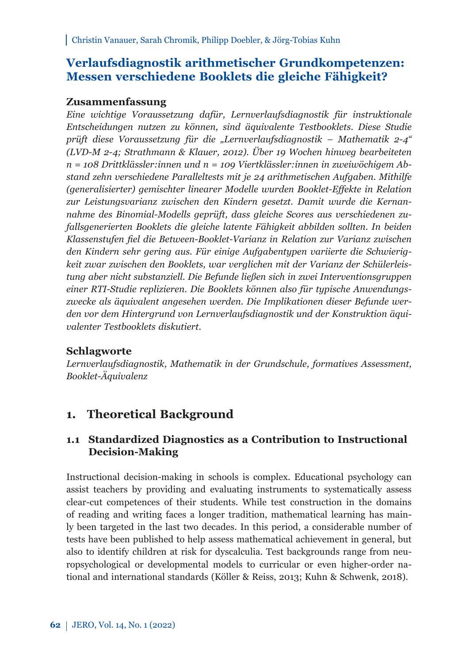## **Verlaufsdiagnostik arithmetischer Grundkompetenzen: Messen verschiedene Booklets die gleiche Fähigkeit?**

## **Zusammenfassung**

*Eine wichtige Voraussetzung dafür, Lernverlaufsdiagnostik für instruktionale Entscheidungen nutzen zu können, sind äquivalente Testbooklets. Diese Studie prüft diese Voraussetzung für die "Lernverlaufsdiagnostik – Mathematik 2-4" (LVD-M 2-4; Strathmann & Klauer, 2012). Über 19 Wochen hinweg bearbeiteten n = 108 Drittklässler:innen und n = 109 Viertklässler:innen in zweiwöchigem Abstand zehn verschiedene Paralleltests mit je 24 arithmetischen Aufgaben. Mithilfe (generalisierter) gemischter linearer Modelle wurden Booklet-Effekte in Relation zur Leistungsvarianz zwischen den Kindern gesetzt. Damit wurde die Kernannahme des Binomial-Modells geprüft, dass gleiche Scores aus verschiedenen zufallsgenerierten Booklets die gleiche latente Fähigkeit abbilden sollten. In beiden Klassenstufen fiel die Between-Booklet-Varianz in Relation zur Varianz zwischen den Kindern sehr gering aus. Für einige Aufgabentypen variierte die Schwierigkeit zwar zwischen den Booklets, war verglichen mit der Varianz der Schülerleistung aber nicht substanziell. Die Befunde ließen sich in zwei Interventionsgruppen einer RTI-Studie replizieren. Die Booklets können also für typische Anwendungszwecke als äquivalent angesehen werden. Die Implikationen dieser Befunde werden vor dem Hintergrund von Lernverlaufsdiagnostik und der Konstruktion äquivalenter Testbooklets diskutiert.*

## **Schlagworte**

*Lernverlaufsdiagnostik, Mathematik in der Grundschule, formatives Assessment, Booklet-Äquivalenz*

## **1. Theoretical Background**

## **1.1 Standardized Diagnostics as a Contribution to Instructional Decision-Making**

Instructional decision-making in schools is complex. Educational psychology can assist teachers by providing and evaluating instruments to systematically assess clear-cut competences of their students. While test construction in the domains of reading and writing faces a longer tradition, mathematical learning has mainly been targeted in the last two decades. In this period, a considerable number of tests have been published to help assess mathematical achievement in general, but also to identify children at risk for dyscalculia. Test backgrounds range from neuropsychological or developmental models to curricular or even higher-order national and international standards (Köller & Reiss, 2013; Kuhn & Schwenk, 2018).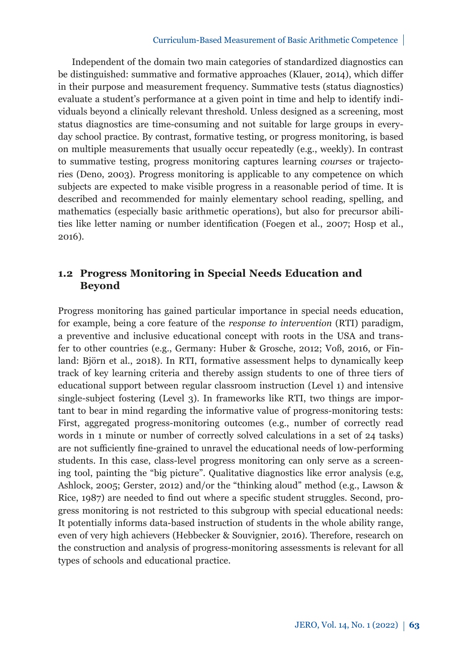#### Curriculum-Based Measurement of Basic Arithmetic Competence

Independent of the domain two main categories of standardized diagnostics can be distinguished: summative and formative approaches (Klauer, 2014), which differ in their purpose and measurement frequency. Summative tests (status diagnostics) evaluate a student's performance at a given point in time and help to identify individuals beyond a clinically relevant threshold. Unless designed as a screening, most status diagnostics are time-consuming and not suitable for large groups in everyday school practice. By contrast, formative testing, or progress monitoring, is based on multiple measurements that usually occur repeatedly (e.g., weekly). In contrast to summative testing, progress monitoring captures learning *courses* or trajectories (Deno, 2003). Progress monitoring is applicable to any competence on which subjects are expected to make visible progress in a reasonable period of time. It is described and recommended for mainly elementary school reading, spelling, and mathematics (especially basic arithmetic operations), but also for precursor abilities like letter naming or number identification (Foegen et al., 2007; Hosp et al., 2016).

## **1.2 Progress Monitoring in Special Needs Education and Beyond**

Progress monitoring has gained particular importance in special needs education, for example, being a core feature of the *response to intervention* (RTI) paradigm, a preventive and inclusive educational concept with roots in the USA and transfer to other countries (e.g., Germany: Huber & Grosche, 2012; Voß, 2016, or Finland: Björn et al., 2018). In RTI, formative assessment helps to dynamically keep track of key learning criteria and thereby assign students to one of three tiers of educational support between regular classroom instruction (Level 1) and intensive single-subject fostering (Level 3). In frameworks like RTI, two things are important to bear in mind regarding the informative value of progress-monitoring tests: First, aggregated progress-monitoring outcomes (e.g., number of correctly read words in 1 minute or number of correctly solved calculations in a set of 24 tasks) are not sufficiently fine-grained to unravel the educational needs of low-performing students. In this case, class-level progress monitoring can only serve as a screening tool, painting the "big picture". Qualitative diagnostics like error analysis (e.g, Ashlock, 2005; Gerster, 2012) and/or the "thinking aloud" method (e.g., Lawson & Rice, 1987) are needed to find out where a specific student struggles. Second, progress monitoring is not restricted to this subgroup with special educational needs: It potentially informs data-based instruction of students in the whole ability range, even of very high achievers (Hebbecker & Souvignier, 2016). Therefore, research on the construction and analysis of progress-monitoring assessments is relevant for all types of schools and educational practice.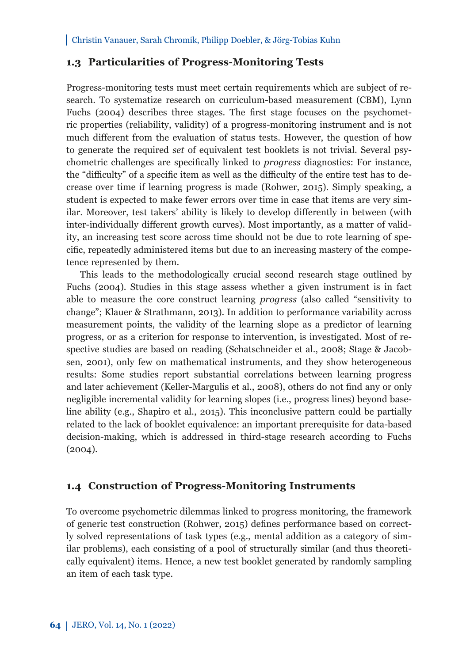## **1.3 Particularities of Progress-Monitoring Tests**

Progress-monitoring tests must meet certain requirements which are subject of research. To systematize research on curriculum-based measurement (CBM), Lynn Fuchs (2004) describes three stages. The first stage focuses on the psychometric properties (reliability, validity) of a progress-monitoring instrument and is not much different from the evaluation of status tests. However, the question of how to generate the required *set* of equivalent test booklets is not trivial. Several psychometric challenges are specifically linked to *progress* diagnostics: For instance, the "difficulty" of a specific item as well as the difficulty of the entire test has to decrease over time if learning progress is made (Rohwer, 2015). Simply speaking, a student is expected to make fewer errors over time in case that items are very similar. Moreover, test takers' ability is likely to develop differently in between (with inter-individually different growth curves). Most importantly, as a matter of validity, an increasing test score across time should not be due to rote learning of specific, repeatedly administered items but due to an increasing mastery of the competence represented by them.

This leads to the methodologically crucial second research stage outlined by Fuchs (2004). Studies in this stage assess whether a given instrument is in fact able to measure the core construct learning *progress* (also called "sensitivity to change"; Klauer & Strathmann, 2013). In addition to performance variability across measurement points, the validity of the learning slope as a predictor of learning progress, or as a criterion for response to intervention, is investigated. Most of respective studies are based on reading (Schatschneider et al., 2008; Stage & Jacobsen, 2001), only few on mathematical instruments, and they show heterogeneous results: Some studies report substantial correlations between learning progress and later achievement (Keller-Margulis et al., 2008), others do not find any or only negligible incremental validity for learning slopes (i.e., progress lines) beyond baseline ability (e.g., Shapiro et al., 2015). This inconclusive pattern could be partially related to the lack of booklet equivalence: an important prerequisite for data-based decision-making, which is addressed in third-stage research according to Fuchs (2004).

## **1.4 Construction of Progress-Monitoring Instruments**

To overcome psychometric dilemmas linked to progress monitoring, the framework of generic test construction (Rohwer, 2015) defines performance based on correctly solved representations of task types (e.g., mental addition as a category of similar problems), each consisting of a pool of structurally similar (and thus theoretically equivalent) items. Hence, a new test booklet generated by randomly sampling an item of each task type.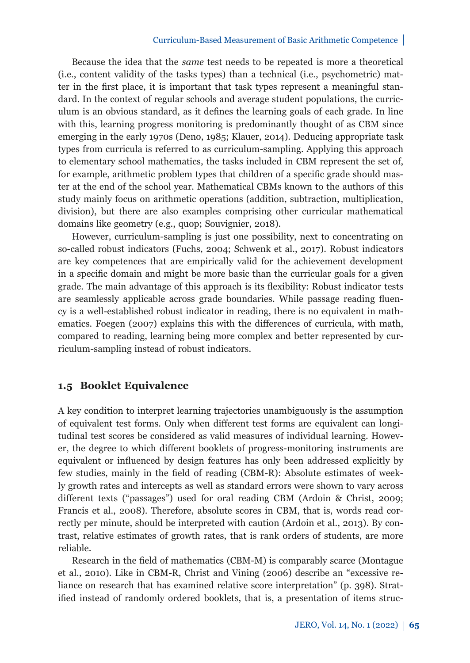#### Curriculum-Based Measurement of Basic Arithmetic Competence

Because the idea that the *same* test needs to be repeated is more a theoretical (i.e., content validity of the tasks types) than a technical (i.e., psychometric) matter in the first place, it is important that task types represent a meaningful standard. In the context of regular schools and average student populations, the curriculum is an obvious standard, as it defines the learning goals of each grade. In line with this, learning progress monitoring is predominantly thought of as CBM since emerging in the early 1970s (Deno, 1985; Klauer, 2014). Deducing appropriate task types from curricula is referred to as curriculum-sampling. Applying this approach to elementary school mathematics, the tasks included in CBM represent the set of, for example, arithmetic problem types that children of a specific grade should master at the end of the school year. Mathematical CBMs known to the authors of this study mainly focus on arithmetic operations (addition, subtraction, multiplication, division), but there are also examples comprising other curricular mathematical domains like geometry (e.g., quop; Souvignier, 2018).

However, curriculum-sampling is just one possibility, next to concentrating on so-called robust indicators (Fuchs, 2004; Schwenk et al., 2017). Robust indicators are key competences that are empirically valid for the achievement development in a specific domain and might be more basic than the curricular goals for a given grade. The main advantage of this approach is its flexibility: Robust indicator tests are seamlessly applicable across grade boundaries. While passage reading fluency is a well-established robust indicator in reading, there is no equivalent in mathematics. Foegen (2007) explains this with the differences of curricula, with math, compared to reading, learning being more complex and better represented by curriculum-sampling instead of robust indicators.

## **1.5 Booklet Equivalence**

A key condition to interpret learning trajectories unambiguously is the assumption of equivalent test forms. Only when different test forms are equivalent can longitudinal test scores be considered as valid measures of individual learning. However, the degree to which different booklets of progress-monitoring instruments are equivalent or influenced by design features has only been addressed explicitly by few studies, mainly in the field of reading (CBM-R): Absolute estimates of weekly growth rates and intercepts as well as standard errors were shown to vary across different texts ("passages") used for oral reading CBM (Ardoin & Christ, 2009; Francis et al., 2008). Therefore, absolute scores in CBM, that is, words read correctly per minute, should be interpreted with caution (Ardoin et al., 2013). By contrast, relative estimates of growth rates, that is rank orders of students, are more reliable.

Research in the field of mathematics (CBM-M) is comparably scarce (Montague et al., 2010). Like in CBM-R, Christ and Vining (2006) describe an "excessive reliance on research that has examined relative score interpretation" (p. 398). Stratified instead of randomly ordered booklets, that is, a presentation of items struc-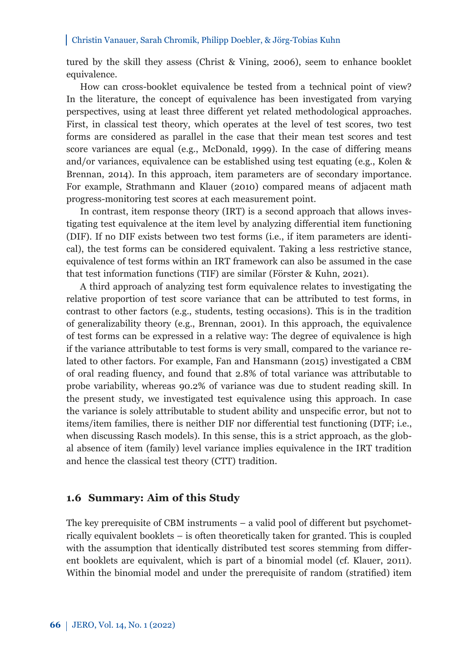tured by the skill they assess (Christ & Vining, 2006), seem to enhance booklet equivalence.

How can cross-booklet equivalence be tested from a technical point of view? In the literature, the concept of equivalence has been investigated from varying perspectives, using at least three different yet related methodological approaches. First, in classical test theory, which operates at the level of test scores, two test forms are considered as parallel in the case that their mean test scores and test score variances are equal (e.g., McDonald, 1999). In the case of differing means and/or variances, equivalence can be established using test equating (e.g., Kolen & Brennan, 2014). In this approach, item parameters are of secondary importance. For example, Strathmann and Klauer (2010) compared means of adjacent math progress-monitoring test scores at each measurement point.

In contrast, item response theory (IRT) is a second approach that allows investigating test equivalence at the item level by analyzing differential item functioning (DIF). If no DIF exists between two test forms (i.e., if item parameters are identical), the test forms can be considered equivalent. Taking a less restrictive stance, equivalence of test forms within an IRT framework can also be assumed in the case that test information functions (TIF) are similar (Förster & Kuhn, 2021).

A third approach of analyzing test form equivalence relates to investigating the relative proportion of test score variance that can be attributed to test forms, in contrast to other factors (e.g., students, testing occasions). This is in the tradition of generalizability theory (e.g., Brennan, 2001). In this approach, the equivalence of test forms can be expressed in a relative way: The degree of equivalence is high if the variance attributable to test forms is very small, compared to the variance related to other factors. For example, Fan and Hansmann (2015) investigated a CBM of oral reading fluency, and found that 2.8% of total variance was attributable to probe variability, whereas 90.2% of variance was due to student reading skill. In the present study, we investigated test equivalence using this approach. In case the variance is solely attributable to student ability and unspecific error, but not to items/item families, there is neither DIF nor differential test functioning (DTF; i.e., when discussing Rasch models). In this sense, this is a strict approach, as the global absence of item (family) level variance implies equivalence in the IRT tradition and hence the classical test theory (CTT) tradition.

### **1.6 Summary: Aim of this Study**

The key prerequisite of CBM instruments – a valid pool of different but psychometrically equivalent booklets – is often theoretically taken for granted. This is coupled with the assumption that identically distributed test scores stemming from different booklets are equivalent, which is part of a binomial model (cf. Klauer, 2011). Within the binomial model and under the prerequisite of random (stratified) item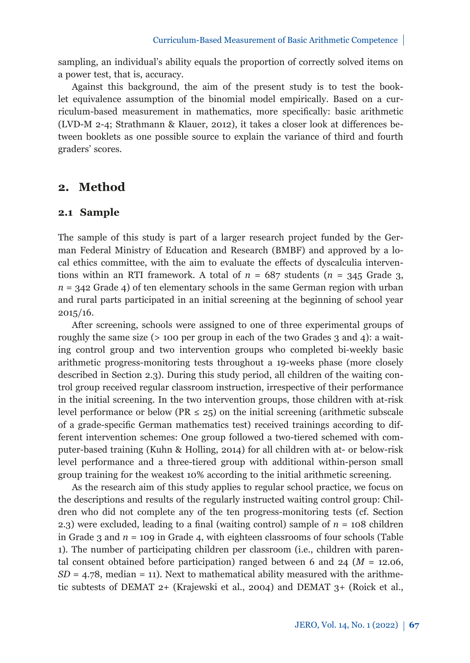sampling, an individual's ability equals the proportion of correctly solved items on a power test, that is, accuracy.

Against this background, the aim of the present study is to test the booklet equivalence assumption of the binomial model empirically. Based on a curriculum-based measurement in mathematics, more specifically: basic arithmetic (LVD-M 2-4; Strathmann & Klauer, 2012), it takes a closer look at differences between booklets as one possible source to explain the variance of third and fourth graders' scores.

## **2. Method**

### **2.1 Sample**

The sample of this study is part of a larger research project funded by the German Federal Ministry of Education and Research (BMBF) and approved by a local ethics committee, with the aim to evaluate the effects of dyscalculia interventions within an RTI framework. A total of  $n = 687$  students ( $n = 345$  Grade 3,  $n = 342$  Grade 4) of ten elementary schools in the same German region with urban and rural parts participated in an initial screening at the beginning of school year 2015/16.

After screening, schools were assigned to one of three experimental groups of roughly the same size (> 100 per group in each of the two Grades 3 and 4): a waiting control group and two intervention groups who completed bi-weekly basic arithmetic progress-monitoring tests throughout a 19-weeks phase (more closely described in Section 2.3). During this study period, all children of the waiting control group received regular classroom instruction, irrespective of their performance in the initial screening. In the two intervention groups, those children with at-risk level performance or below (PR  $\leq$  25) on the initial screening (arithmetic subscale of a grade-specific German mathematics test) received trainings according to different intervention schemes: One group followed a two-tiered schemed with computer-based training (Kuhn & Holling, 2014) for all children with at- or below-risk level performance and a three-tiered group with additional within-person small group training for the weakest 10% according to the initial arithmetic screening.

As the research aim of this study applies to regular school practice, we focus on the descriptions and results of the regularly instructed waiting control group: Children who did not complete any of the ten progress-monitoring tests (cf. Section 2.3) were excluded, leading to a final (waiting control) sample of *n* = 108 children in Grade 3 and  $n = 109$  in Grade 4, with eighteen classrooms of four schools (Table 1). The number of participating children per classroom (i.e., children with parental consent obtained before participation) ranged between 6 and 24 (*M* = 12.06,  $SD = 4.78$ , median = 11). Next to mathematical ability measured with the arithmetic subtests of DEMAT 2+ (Krajewski et al., 2004) and DEMAT 3+ (Roick et al.,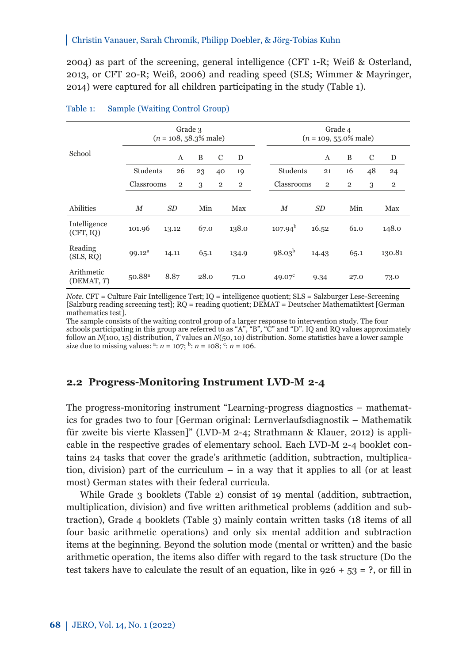2004) as part of the screening, general intelligence (CFT 1-R; Weiß & Osterland, 2013, or CFT 20-R; Weiß, 2006) and reading speed (SLS; Wimmer & Mayringer, 2014) were captured for all children participating in the study (Table 1).

| Grade 3<br>$(n = 108, 58.3\%$ male) |                    |                |      | Grade 4<br>$(n = 109, 55.0\%$ male) |                |                 |                |                |    |                |
|-------------------------------------|--------------------|----------------|------|-------------------------------------|----------------|-----------------|----------------|----------------|----|----------------|
| School                              |                    | A              | B    | C                                   | D              |                 | A              | B              | C  | D              |
|                                     | Students           | 26             | 23   | 40                                  | 19             | Students        | 21             | 16             | 48 | 24             |
|                                     | Classrooms         | $\overline{2}$ | 3    | $\overline{2}$                      | $\overline{2}$ | Classrooms      | $\overline{2}$ | $\overline{2}$ | 3  | $\overline{2}$ |
|                                     |                    |                |      |                                     |                |                 |                |                |    |                |
| Abilities                           | M                  | SD             | Min  |                                     | Max            | $_{M}$          | SD             | Min            |    | Max            |
| Intelligence<br>(CFT, IQ)           | 101.96             | 13.12          | 67.0 |                                     | 138.0          | $107.94^{b}$    | 16.52          | 61.0           |    | 148.0          |
| Reading<br>(SLS, RQ)                | 99.12 <sup>a</sup> | 14.11          | 65.1 |                                     | 134.9          | $98.03^{b}$     | 14.43          | 65.1           |    | 130.81         |
| Arithmetic<br>(DEMAT, T)            | $50.88^{a}$        | 8.87           | 28.0 |                                     | 71.0           | $49.07^{\circ}$ | 9.34           | 27.0           |    | 73.0           |

#### Table 1: Sample (Waiting Control Group)

*Note*. CFT = Culture Fair Intelligence Test; IQ = intelligence quotient; SLS = Salzburger Lese-Screening [Salzburg reading screening test]; RQ = reading quotient; DEMAT = Deutscher Mathematiktest [German mathematics test].

The sample consists of the waiting control group of a larger response to intervention study. The four schools participating in this group are referred to as "A", "B", "C" and "D". IQ and RQ values approximately follow an *N*(100, 15) distribution, *T* values an *N*(50, 10) distribution. Some statistics have a lower sample size due to missing values:  $a: n = 107$ ;  $b: n = 108$ ;  $c: n = 106$ .

## **2.2 Progress-Monitoring Instrument LVD-M 2-4**

The progress-monitoring instrument "Learning-progress diagnostics – mathematics for grades two to four [German original: Lernverlaufsdiagnostik – Mathematik für zweite bis vierte Klassen]" (LVD-M 2-4; Strathmann & Klauer, 2012) is applicable in the respective grades of elementary school. Each LVD-M 2-4 booklet contains 24 tasks that cover the grade's arithmetic (addition, subtraction, multiplication, division) part of the curriculum – in a way that it applies to all (or at least most) German states with their federal curricula.

While Grade 3 booklets (Table 2) consist of 19 mental (addition, subtraction, multiplication, division) and five written arithmetical problems (addition and subtraction), Grade 4 booklets (Table 3) mainly contain written tasks (18 items of all four basic arithmetic operations) and only six mental addition and subtraction items at the beginning. Beyond the solution mode (mental or written) and the basic arithmetic operation, the items also differ with regard to the task structure (Do the test takers have to calculate the result of an equation, like in  $926 + 53 = ?$ , or fill in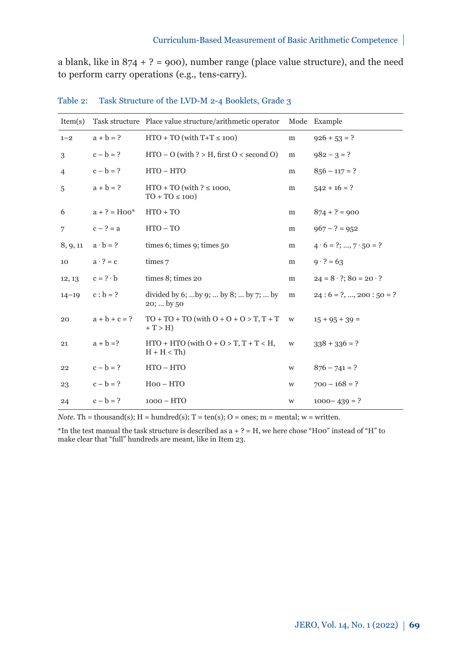a blank, like in  $874 + ? = 900$ , number range (place value structure), and the need to perform carry operations (e.g., tens-carry).

| Item(s)        |                 | Task structure Place value structure/arithmetic operator      |   | Mode Example                         |
|----------------|-----------------|---------------------------------------------------------------|---|--------------------------------------|
| $1 - 2$        | $a + b = ?$     | $HTO + TO$ (with $T+T \le 100$ )                              | m | $926 + 53 = ?$                       |
| 3              | $c - b = ?$     | $HTO - O$ (with ? > H, first $O \lt$ second O)                | m | $982 - 3 = ?$                        |
| $\overline{4}$ | $c - b = ?$     | $HTO - HTO$                                                   | m | $856 - 117 = ?$                      |
| 5              | $a + b = ?$     | $HTO + TO$ (with ? $\leq 1000$ ,<br>$TO + TO \le 100$         | m | $542 + 16 = ?$                       |
| 6              | $a + ? = Hoo*$  | $HTO + TO$                                                    | m | $874 + ? = 900$                      |
| 7              | $c - ? = a$     | $HTO - TO$                                                    | m | $967 - ? = 952$                      |
| 8, 9, 11       | $a \cdot b = ?$ | times 6; times 9; times $50$                                  | m | $4 \cdot 6 = ?; , 7 \cdot 50 = ?$    |
| 10             | $a \cdot ? = c$ | times 7                                                       | m | $9 \cdot ? = 63$                     |
| 12, 13         | $c = ? \cdot b$ | times 8; times 20                                             | m | $24 = 8 \cdot ?$ ; $80 = 20 \cdot ?$ |
| $14 - 19$      | $c : b = ?$     | divided by 6;  by 9;  by 8;  by 7;  by<br>20;  by 50          | m | $24:6 = ?, , 200:50 = ?$             |
| 20             | $a + b + c = ?$ | $TO + TO + TO$ (with $O + O + O > T$ , $T + T$<br>$+T > H$    | W | $15 + 95 + 39 =$                     |
| 21             | $a + b = ?$     | $HTO + HTO$ (with $O + O > T$ , $T + T < H$ ,<br>$H + H < Th$ | W | $338 + 336 = ?$                      |
| 22             | $c - b = ?$     | $HTO - HTO$                                                   | W | $876 - 741 = ?$                      |
| 23             | $c - b = ?$     | $Hoo - HTO$                                                   | W | $700 - 168 = ?$                      |
| 24             | $c - b = ?$     | $1000 - HTO$                                                  | W | $1000 - 439 = ?$                     |

Table 2: Task Structure of the LVD-M 2-4 Booklets, Grade 3

*Note.* Th = thousand(s);  $H =$  hundred(s);  $T = \text{ten}(s)$ ;  $O =$  ones;  $m =$  mental;  $w =$  written.

\*In the test manual the task structure is described as  $a + ? = H$ , we here chose "H00" instead of "H" to make clear that "full" hundreds are meant, like in Item 23.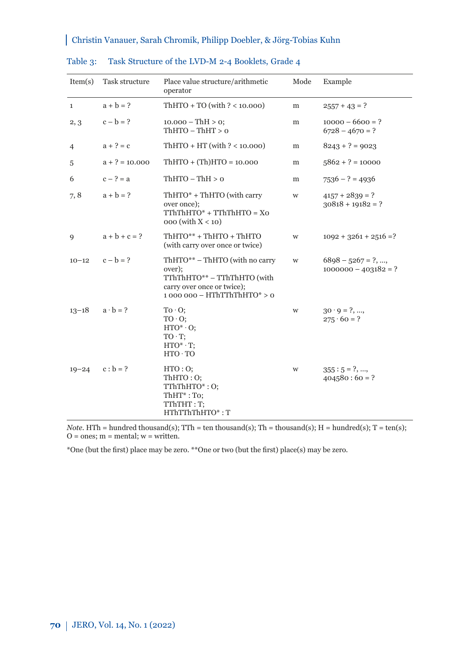| Item(s)      | Task structure   | Place value structure/arithmetic<br>operator                                                                                            | Mode | Example                                         |
|--------------|------------------|-----------------------------------------------------------------------------------------------------------------------------------------|------|-------------------------------------------------|
| $\mathbf{1}$ | $a + b = ?$      | $ThHTO + TO$ (with $? < 10.000$ )                                                                                                       | m    | $2557 + 43 = ?$                                 |
| 2, 3         | $c - b = ?$      | $10.000 - ThH > 0$ ;<br>$ThHTO - ThHT > 0$                                                                                              | m    | $10000 - 6600 = ?$<br>$6728 - 4670 = ?$         |
| 4            | $a + ? = c$      | $ThHTO + HT (with ? < 10.000)$                                                                                                          | m    | $8243 + ? = 9023$                               |
| 5            | $a + ? = 10.000$ | $ThHTO + (Th)HTO = 10.000$                                                                                                              | m    | $5862 + ? = 10000$                              |
| 6            | $c - ? = a$      | $ThHTO - ThH > 0$                                                                                                                       | m    | $7536 - ? = 4936$                               |
| 7, 8         | $a + b = ?$      | $ThHTO* + ThHTO$ (with carry<br>over once);<br>$TThThHTO^* + TThThHTO = XO$<br>$000$ (with $X < 10$ )                                   | W    | $4157 + 2839 = ?$<br>$30818 + 19182 = ?$        |
| 9            | $a + b + c = ?$  | $ThHTO** + ThHTO + ThHTO$<br>(with carry over once or twice)                                                                            | W    | $1092 + 3261 + 2516 = ?$                        |
| $10 - 12$    | $c - b = ?$      | $ThHTO** - ThHTO$ (with no carry<br>over);<br>TThThHTO** - TThThHTO (with<br>carry over once or twice);<br>$1000000 - HThTThThHTO* > 0$ | W    | $6898 - 5267 = ?$ , ,<br>$1000000 - 403182 = ?$ |
| $13 - 18$    | $a \cdot b = ?$  | $To \cdot O$<br>$TO \cdot O$<br>$HTO^* O$ :<br>$TO \cdot T$<br>$HTO^* T$ ;<br>HTO TO                                                    | W    | $30 \cdot 9 = ?, ,$<br>$275 \cdot 60 = ?$       |
| $19 - 24$    | $c : b = ?$      | HTO:O;<br>ThHTO:O;<br>TThThHTO*: O;<br>$ThHT^*: To;$<br>TThTHT: T;<br>HThTThThHTO*: T                                                   | W    | $355:5 = ?, ,$<br>$404580:60 = ?$               |

#### Table 3: Task Structure of the LVD-M 2-4 Booklets, Grade 4

*Note*. HTh = hundred thousand(s); TTh = ten thousand(s); Th = thousand(s); H = hundred(s); T = ten(s);  $O = ones; m = mental; w = written.$ 

\*One (but the first) place may be zero. \*\*One or two (but the first) place(s) may be zero.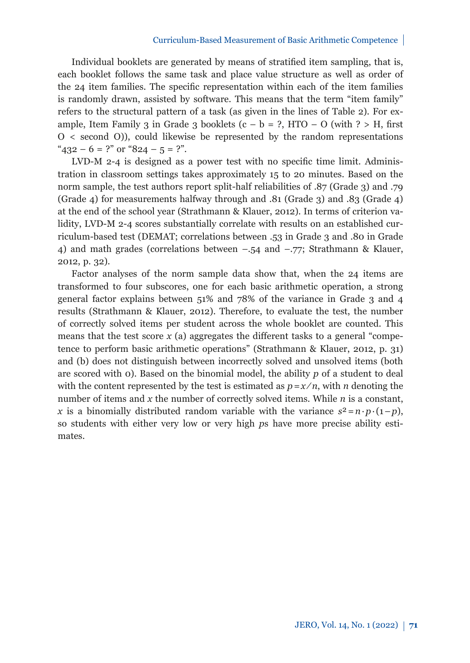#### Curriculum-Based Measurement of Basic Arithmetic Competence

Individual booklets are generated by means of stratified item sampling, that is, each booklet follows the same task and place value structure as well as order of the 24 item families. The specific representation within each of the item families is randomly drawn, assisted by software. This means that the term "item family" refers to the structural pattern of a task (as given in the lines of Table 2). For example, Item Family 3 in Grade 3 booklets  $(c - b = ?, HTO - O$  (with  $? > H$ , first O < second O)), could likewise be represented by the random representations " $432 - 6 = ?$ " or " $824 - 5 = ?$ ".

LVD-M 2-4 is designed as a power test with no specific time limit. Administration in classroom settings takes approximately 15 to 20 minutes. Based on the norm sample, the test authors report split-half reliabilities of .87 (Grade 3) and .79 (Grade 4) for measurements halfway through and .81 (Grade 3) and .83 (Grade 4) at the end of the school year (Strathmann & Klauer, 2012). In terms of criterion validity, LVD-M 2-4 scores substantially correlate with results on an established curriculum-based test (DEMAT; correlations between .53 in Grade 3 and .80 in Grade 4) and math grades (correlations between *–*.54 and *–*.77; Strathmann & Klauer, 2012, p. 32).

Factor analyses of the norm sample data show that, when the 24 items are transformed to four subscores, one for each basic arithmetic operation, a strong general factor explains between 51% and 78% of the variance in Grade 3 and 4 results (Strathmann & Klauer, 2012). Therefore, to evaluate the test, the number of correctly solved items per student across the whole booklet are counted. This means that the test score  $x$  (a) aggregates the different tasks to a general "competence to perform basic arithmetic operations" (Strathmann & Klauer, 2012, p. 31) and (b) does not distinguish between incorrectly solved and unsolved items (both are scored with 0). Based on the binomial model, the ability *p* of a student to deal with the content represented by the test is estimated as  $p=x/n$ , with *n* denoting the number of items and *x* the number of correctly solved items. While *n* is a constant, *x* is a binomially distributed random variable with the variance  $s^2 = n \cdot p \cdot (1-p)$ , so students with either very low or very high *p*s have more precise ability estimates.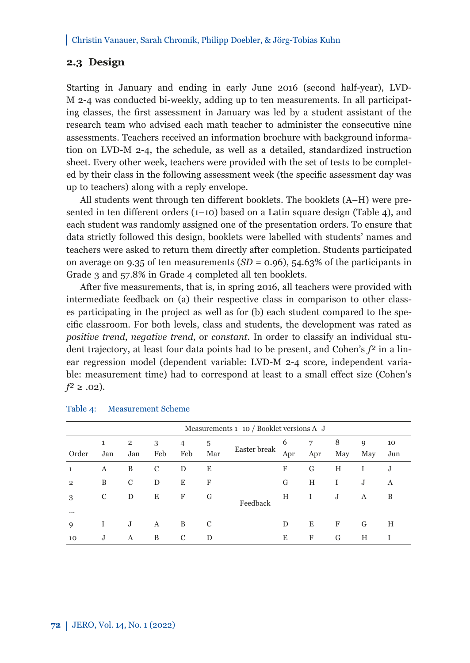## **2.3 Design**

Starting in January and ending in early June 2016 (second half-year), LVD-M 2-4 was conducted bi-weekly, adding up to ten measurements. In all participating classes, the first assessment in January was led by a student assistant of the research team who advised each math teacher to administer the consecutive nine assessments. Teachers received an information brochure with background information on LVD-M 2-4, the schedule, as well as a detailed, standardized instruction sheet. Every other week, teachers were provided with the set of tests to be completed by their class in the following assessment week (the specific assessment day was up to teachers) along with a reply envelope.

All students went through ten different booklets. The booklets (A–H) were presented in ten different orders (1–10) based on a Latin square design (Table 4), and each student was randomly assigned one of the presentation orders. To ensure that data strictly followed this design, booklets were labelled with students' names and teachers were asked to return them directly after completion. Students participated on average on 9.35 of ten measurements  $(SD = 0.96)$ , 54.63% of the participants in Grade 3 and 57.8% in Grade 4 completed all ten booklets.

After five measurements, that is, in spring 2016, all teachers were provided with intermediate feedback on (a) their respective class in comparison to other classes participating in the project as well as for (b) each student compared to the specific classroom. For both levels, class and students, the development was rated as *positive trend*, *negative trend*, or *constant*. In order to classify an individual student trajectory, at least four data points had to be present, and Cohen's *f²* in a linear regression model (dependent variable: LVD-M 2-4 score, independent variable: measurement time) had to correspond at least to a small effect size (Cohen's  $f^2 \ge .02$ ).

|                | Measurements 1–10 / Booklet versions A–J |                       |          |          |          |              |          |          |          |          |           |
|----------------|------------------------------------------|-----------------------|----------|----------|----------|--------------|----------|----------|----------|----------|-----------|
| Order          | 1<br>Jan                                 | $\overline{2}$<br>Jan | 3<br>Feb | 4<br>Feb | 5<br>Mar | Easter break | 6<br>Apr | 7<br>Apr | 8<br>May | 9<br>May | 10<br>Jun |
|                | A                                        | B                     | C        | D        | Ε        |              | F        | G        | Н        | Ι        | J         |
| $\overline{2}$ | B                                        | C                     | D        | Ε        | F        |              | G        | Н        | I        | J        | A         |
| 3              | C                                        | D                     | Е        | F        | G        | Feedback     | H        | 1        | J        | А        | B         |
|                |                                          |                       |          |          |          |              |          |          |          |          |           |
| 9              | T                                        | J                     | A        | B        | C        |              | D        | E        | F        | G        | Н         |
| 10             | J                                        | A                     | B        | C        | D        |              | Ε        | F        | G        | Н        |           |

#### Table 4: Measurement Scheme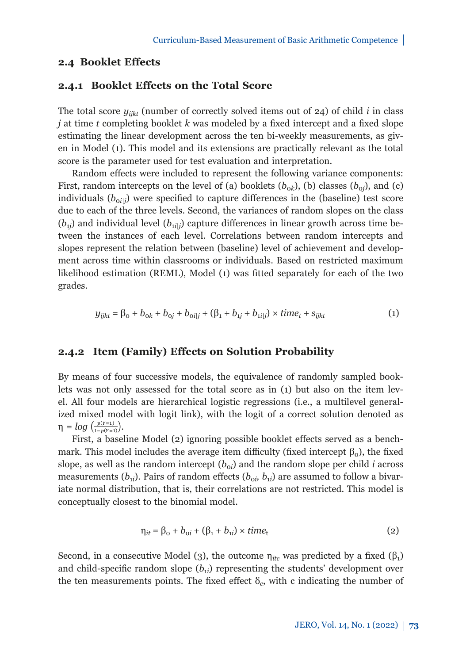### **2.4 Booklet Effects**

## **2.4.1 Booklet Effects on the Total Score**

The total score  $y_{ijk}$  (number of correctly solved items out of 24) of child *i* in class *j* at time *t* completing booklet *k* was modeled by a fixed intercept and a fixed slope estimating the linear development across the ten bi-weekly measurements, as given in Model (1). This model and its extensions are practically relevant as the total score is the parameter used for test evaluation and interpretation.

Random effects were included to represent the following variance components: First, random intercepts on the level of (a) booklets ( $b_{0k}$ ), (b) classes ( $b_{0i}$ ), and (c) individuals  $(b_{\text{o}ij})$  were specified to capture differences in the (baseline) test score due to each of the three levels. Second, the variances of random slopes on the class  $(b_{1i})$  and individual level  $(b_{1i|i})$  capture differences in linear growth across time between the instances of each level. Correlations between random intercepts and slopes represent the relation between (baseline) level of achievement and development across time within classrooms or individuals. Based on restricted maximum likelihood estimation (REML), Model (1) was fitted separately for each of the two differences in linear growth across time between the instances of each level. Correlations of each level. Correlations of each level. The instances of each level. Correlations of each level. Correlations of each level. Cor

$$
y_{ijkt} = \beta_0 + b_{ok} + b_{oj} + b_{oilj} + (\beta_1 + b_{1j} + b_{1ij}) \times time_t + s_{ijkt}
$$
 (1)

#### **2.4.2 Item (Family) Effects on Solution Probability**

By means of four successive models, the equivalence of randomly sampled booklets was not only assessed for the total score as in (1) but also on the item level. All four models are hierarchical logistic regressions (i.e., a multilevel generalized mixed model with logit link), with the logit of a correct solution denoted as  $\eta = log(\frac{p(y=1)}{1-p(y=1)})$ .

First, a baseline Model (2) ignoring possible booklet effects served as a benchmark. This model includes the average item difficulty (fixed intercept  $β_0$ ), the fixed slope, as well as the random intercept  $(b_{oi})$  and the random slope per child *i* across measurements  $(b_{1i})$ . Pairs of random effects  $(b_{0i}, b_{1i})$  are assumed to follow a bivariate normal distribution, that is, their correlations are not restricted. This model is *conceptually closest to the binomial model.* 

$$
\eta_{it} = \beta_o + b_{oi} + (\beta_1 + b_{1i}) \times time_t \tag{2}
$$

Second, in a consecutive Model (3), the outcome  $\eta_{itc}$  was predicted by a fixed ( $\beta_1$ ) and child-specific random slope  $(b_{1i})$  representing the students' development over the ten measurements points. The fixed effect  $\delta_c$ , with c indicating the number of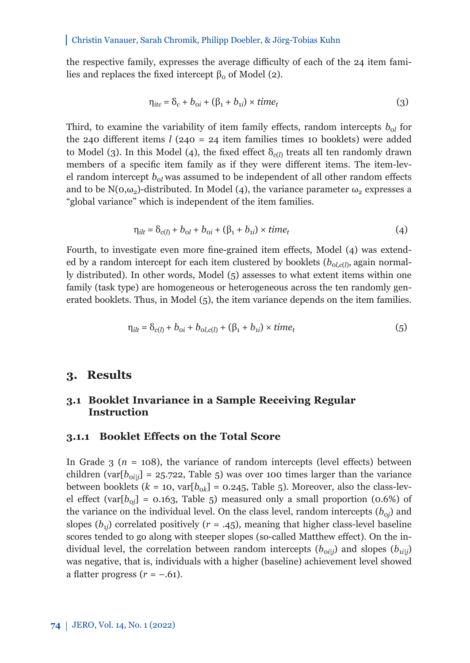the respective family, expresses the average difficulty of each of the 24 item families and replaces the fixed intercept  $β_0$  of Model (2).

$$
\eta_{itc} = \delta_c + b_{oi} + (\beta_1 + b_{1i}) \times time_t
$$
\n(3)

Third, to examine the variability of item family effects, random intercepts  $b_{ol}$  for the 240 different items *l* (240 = 24 item families times 10 booklets) were added to Model (3). In this Model (4), the fixed effect  $\delta_{c(l)}$  treats all ten randomly drawn members of a specific item family as if they were different items. The item-level random intercept  $b_{0l}$  was assumed to be independent of all other random effects and to be  $N(\sigma,\omega_2)$ -distributed. In Model (4), the variance parameter  $\omega_2$  expresses a "global variance" which is independent of the item families.

$$
\eta_{ilt} = \delta_{c(l)} + b_{ol} + b_{oi} + (\beta_1 + b_{1i}) \times time_t
$$
 (4)

Fourth, to investigate even more fine-grained item effects, Model (4) was extended by a random intercept for each item clustered by booklets  $(b_{ol, c(l)})$  again normally distributed). In other words, Model (5) assesses to what extent items within one family (task type) are homogeneous or heterogeneous across the ten randomly generated booklets. Thus, in Model (5), the item variance depends on the item families.

$$
\eta_{i l t} = \delta_{c(l)} + b_{0 i} + b_{0 l, c(l)} + (\beta_1 + b_{1 i}) \times time_t
$$
\n(5)

## **3. Results**

## **3.1 Booklet Invariance in a Sample Receiving Regular Instruction**

#### **3.1.1 Booklet Effects on the Total Score**

In Grade  $3$  ( $n = 108$ ), the variance of random intercepts (level effects) between children (var $[b_{\text{o}ij}]$  = 25.722, Table 5) was over 100 times larger than the variance between booklets ( $k = 10$ , var $[b_{ok}] = 0.245$ , Table 5). Moreover, also the class-level effect (var $[b_{0i}]$  = 0.163, Table 5) measured only a small proportion (0.6%) of the variance on the individual level. On the class level, random intercepts  $(b_{0j})$  and slopes ( $b_{1i}$ ) correlated positively ( $r = .45$ ), meaning that higher class-level baseline scores tended to go along with steeper slopes (so-called Matthew effect). On the individual level, the correlation between random intercepts  $(b_{\text{oil}})$  and slopes  $(b_{\text{il}})$ was negative, that is, individuals with a higher (baseline) achievement level showed a flatter progress  $(r = -.61)$ .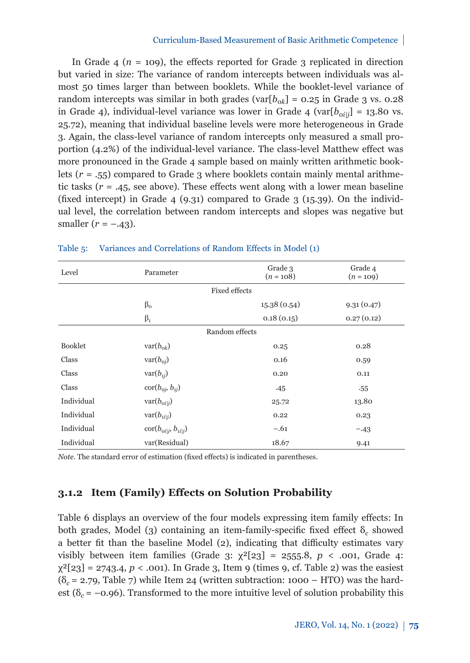#### Curriculum-Based Measurement of Basic Arithmetic Competence

In Grade  $4$  ( $n = 109$ ), the effects reported for Grade 3 replicated in direction but varied in size: The variance of random intercepts between individuals was almost 50 times larger than between booklets. While the booklet-level variance of random intercepts was similar in both grades (var $[b_{0k}] = 0.25$  in Grade 3 vs. 0.28 in Grade 4), individual-level variance was lower in Grade 4 (var $[b_{\text{o}}j_{ij}] = 13.80$  vs. 25.72), meaning that individual baseline levels were more heterogeneous in Grade 3. Again, the class-level variance of random intercepts only measured a small proportion (4.2%) of the individual-level variance. The class-level Matthew effect was more pronounced in the Grade 4 sample based on mainly written arithmetic booklets (*r* = .55) compared to Grade 3 where booklets contain mainly mental arithmetic tasks  $(r = .45,$  see above). These effects went along with a lower mean baseline (fixed intercept) in Grade 4 (9.31) compared to Grade 3 (15.39). On the individual level, the correlation between random intercepts and slopes was negative but smaller  $(r = -.43)$ .

| Level          | Parameter                                          | Grade 3<br>$(n = 108)$ | Grade 4<br>$(n = 109)$ |  |  |  |  |
|----------------|----------------------------------------------------|------------------------|------------------------|--|--|--|--|
|                |                                                    | <b>Fixed effects</b>   |                        |  |  |  |  |
|                | $\beta_{o}$                                        | 15.38(0.54)            | 9.31(0.47)             |  |  |  |  |
|                | $\beta_1$                                          | 0.18(0.15)             | 0.27(0.12)             |  |  |  |  |
| Random effects |                                                    |                        |                        |  |  |  |  |
| <b>Booklet</b> | $\text{var}(b_{\text{ok}})$                        | 0.25                   | 0.28                   |  |  |  |  |
| Class          | $\text{var}(b_{\text{o}i})$                        | 0.16                   | 0.59                   |  |  |  |  |
| Class          | $var(b_{1i})$                                      | 0.20                   | 0.11                   |  |  |  |  |
| Class          | $\operatorname{cor}(b_{\text{o}j}, b_{\text{i}j})$ | .45                    | .55                    |  |  |  |  |
| Individual     | $\text{var}(b_{\text{o}i i})$                      | 25.72                  | 13.80                  |  |  |  |  |
| Individual     | $\text{var}(b_{1i j})$                             | 0.22                   | 0.23                   |  |  |  |  |
| Individual     | $\text{cor}(b_{\text{o}i i}, b_{\text{i}i i})$     | $-.61$                 | $-.43$                 |  |  |  |  |
| Individual     | var(Residual)                                      | 18.67                  | 9.41                   |  |  |  |  |

#### Table 5: Variances and Correlations of Random Effects in Model (1)

*Note.* The standard error of estimation (fixed effects) is indicated in parentheses.

## **3.1.2 Item (Family) Effects on Solution Probability**

Table 6 displays an overview of the four models expressing item family effects: In both grades, Model (3) containing an item-family-specific fixed effect δ*c* showed a better fit than the baseline Model (2), indicating that difficulty estimates vary visibly between item families (Grade 3:  $\chi^2[23] = 2555.8$ ,  $p < .001$ , Grade 4:  $\chi^2[23] = 2743.4$ ,  $p < .001$ ). In Grade 3, Item 9 (times 9, cf. Table 2) was the easiest (δ*c =* 2.79, Table 7) while Item 24 (written subtraction: 1000 – HTO) was the hardest ( $\delta_c$  = -0.96). Transformed to the more intuitive level of solution probability this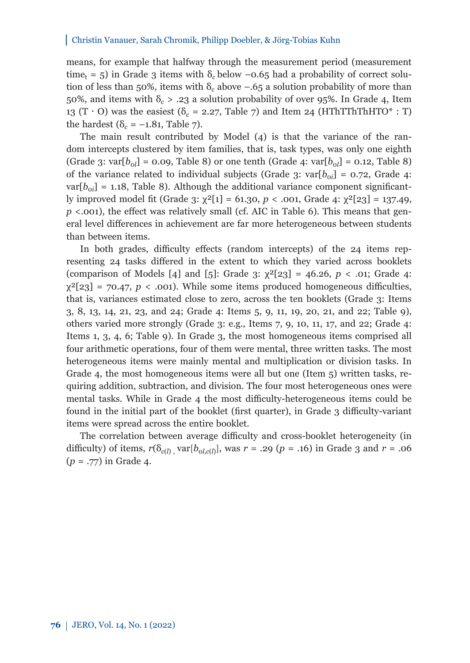means, for example that halfway through the measurement period (measurement time<sub>t</sub> = 5) in Grade 3 items with  $\delta_c$  below -0.65 had a probability of correct solution of less than 50%, items with  $\delta_c$  above  $-.65$  a solution probability of more than 50%, and items with δ*<sup>c</sup>* > .23 a solution probability of over 95%. In Grade 4, Item 13 (T  $\cdot$  O) was the easiest ( $\delta_c$  = 2.27, Table 7) and Item 24 (HThTThThHTO\* : T) the hardest ( $\delta_c = -1.81$ , Table 7).

The main result contributed by Model (4) is that the variance of the random intercepts clustered by item families, that is, task types, was only one eighth (Grade 3: var $[b_{0l}] = 0.09$ , Table 8) or one tenth (Grade 4: var $[b_{0l}] = 0.12$ , Table 8) of the variance related to individual subjects (Grade 3: var $[b_{0i}] = 0.72$ , Grade 4:  $var[b_{oi}] = 1.18$ , Table 8). Although the additional variance component significantly improved model fit (Grade 3: χ²[1] = 61.30, *p* < .001, Grade 4: χ²[23] = 137.49, *p* <.001), the effect was relatively small (cf. AIC in Table 6). This means that general level differences in achievement are far more heterogeneous between students than between items.

In both grades, difficulty effects (random intercepts) of the 24 items representing 24 tasks differed in the extent to which they varied across booklets (comparison of Models [4] and [5]: Grade 3: χ²[23] = 46.26, *p* < .01; Grade 4:  $\chi^2[23] = 70.47$ ,  $p < .001$ ). While some items produced homogeneous difficulties, that is, variances estimated close to zero, across the ten booklets (Grade 3: Items 3, 8, 13, 14, 21, 23, and 24; Grade 4: Items 5, 9, 11, 19, 20, 21, and 22; Table 9), others varied more strongly (Grade 3: e.g., Items 7, 9, 10, 11, 17, and 22; Grade 4: Items 1, 3, 4, 6; Table 9). In Grade 3, the most homogeneous items comprised all four arithmetic operations, four of them were mental, three written tasks. The most heterogeneous items were mainly mental and multiplication or division tasks. In Grade 4, the most homogeneous items were all but one (Item 5) written tasks, requiring addition, subtraction, and division. The four most heterogeneous ones were mental tasks. While in Grade 4 the most difficulty-heterogeneous items could be found in the initial part of the booklet (first quarter), in Grade 3 difficulty-variant items were spread across the entire booklet.

The correlation between average difficulty and cross-booklet heterogeneity (in difficulty) of items,  $r(\delta_{c(l)} \text{ var}[b_{ol,c(l)}], \text{ was } r = .29 \ (p = .16) \text{ in Grade 3 and } r = .06$ (*p* = .77) in Grade 4.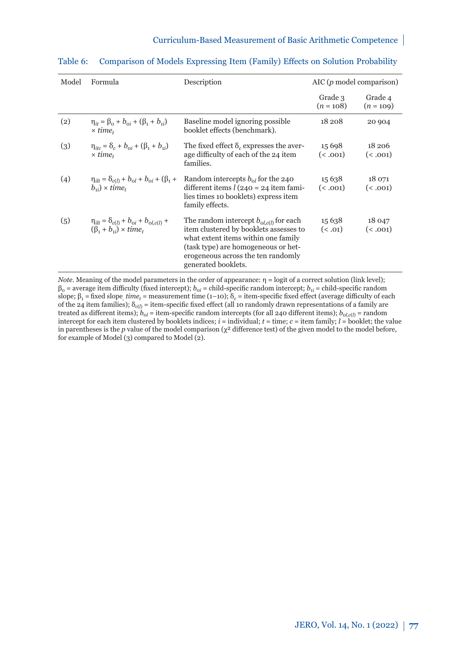#### Curriculum-Based Measurement of Basic Arithmetic Competence

| Model | Formula                                                                                            | Description                                                                                                                                                                                                                             |                        | $\Delta IC(p \text{ model comparison})$ |  |
|-------|----------------------------------------------------------------------------------------------------|-----------------------------------------------------------------------------------------------------------------------------------------------------------------------------------------------------------------------------------------|------------------------|-----------------------------------------|--|
|       |                                                                                                    |                                                                                                                                                                                                                                         | Grade 3<br>$(n = 108)$ | Grade 4<br>$(n = 109)$                  |  |
| (2)   | $\eta_{it} = \beta_0 + b_{0i} + (\beta_1 + b_{1i})$<br>$\times$ time.                              | Baseline model ignoring possible<br>booklet effects (benchmark).                                                                                                                                                                        | 18 208                 | 20 904                                  |  |
| (3)   | $\eta_{itc} = \delta_c + b_{0i} + (\beta_1 + b_{1i})$<br>$\times$ time.                            | The fixed effect $\delta_c$ expresses the aver-<br>age difficulty of each of the 24 item<br>families.                                                                                                                                   | 15 6 98<br>(0.001)     | 18 206<br>(0.001)                       |  |
| (4)   | $\eta_{j l t} = \delta_{c(l)} + b_{ol} + b_{ol} + (\beta_1 + \beta_2)$<br>$(b_{ii}) \times time_t$ | Random intercepts $b_{0}$ for the 240<br>different items $l$ (240 = 24 item fami-<br>lies times 10 booklets) express item<br>family effects.                                                                                            | 15 6 38<br>(0.001)     | 18 071<br>(0.001)                       |  |
| (5)   | $\eta_{ilt} = \delta_{c(l)} + b_{oi} + b_{ol,c(l)} +$<br>$(\beta_1 + b_{1i}) \times time_t$        | The random intercept $b_{\alpha l, c(l)}$ for each<br>item clustered by booklets assesses to<br>what extent items within one family<br>(task type) are homogeneous or het-<br>erogeneous across the ten randomly<br>generated booklets. | 15 6 38<br>(5.01)      | 18 047<br>(0.001)                       |  |

#### Table 6: Comparison of Models Expressing Item (Family) Effects on Solution Probability

*Note.* Meaning of the model parameters in the order of appearance: η = logit of a correct solution (link level);  $\beta_0$  = average item difficulty (fixed intercept);  $b_{0i}$  = child-specific random intercept;  $b_{1i}$  = child-specific random slope;  $β_1$  = fixed slope *time<sub>t</sub>* = measurement time (1–10);  $δ_c$  = item-specific fixed effect (average difficulty of each of the 24 item families); δ*c*(*l*) = item-specific fixed effect (all 10 randomly drawn representations of a family are treated as different items);  $b_{ol}$  = item-specific random intercepts (for all 240 different items);  $b_{ol,c(l)}$  = random intercept for each item clustered by booklets indices;  $i =$  individual;  $t =$  time;  $c =$  item family;  $l =$  booklet; the value in parentheses is the  $p$  value of the model comparison  $(\chi^2$  difference test) of the given model to the model before, for example of Model (3) compared to Model (2).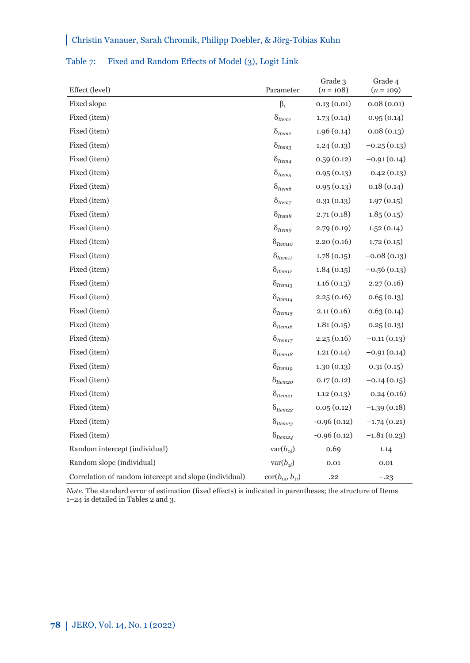| Effect (level)                                         | Parameter                                  | Grade 3<br>$(n = 108)$ | Grade 4<br>$(n = 109)$ |
|--------------------------------------------------------|--------------------------------------------|------------------------|------------------------|
| Fixed slope                                            | $\beta_1$                                  | 0.13(0.01)             | 0.08(0.01)             |
| Fixed (item)                                           | $\delta_{Item1}$                           | 1.73(0.14)             | 0.95(0.14)             |
| Fixed (item)                                           | $\delta_{Item2}$                           | 1.96(0.14)             | 0.08(0.13)             |
| Fixed (item)                                           | $\delta_{\mathit{Item3}}$                  | 1.24(0.13)             | $-0.25(0.13)$          |
| Fixed (item)                                           | $\delta_{Item4}$                           | 0.59(0.12)             | $-0.91(0.14)$          |
| Fixed (item)                                           | $\delta_{Item,5}$                          | 0.95(0.13)             | $-0.42(0.13)$          |
| Fixed (item)                                           | $\delta_{Item6}$                           | 0.95(0.13)             | 0.18(0.14)             |
| Fixed (item)                                           | $\delta_{Item7}$                           | 0.31(0.13)             | 1.97(0.15)             |
| Fixed (item)                                           | $\delta_{Item8}$                           | 2.71(0.18)             | 1.85(0.15)             |
| Fixed (item)                                           | $\delta_{Item9}$                           | 2.79 (0.19)            | 1.52(0.14)             |
| Fixed (item)                                           | $\delta_{Item10}$                          | 2.20(0.16)             | 1.72(0.15)             |
| Fixed (item)                                           | $\delta$ Item11                            | 1.78(0.15)             | $-0.08(0.13)$          |
| Fixed (item)                                           | $\delta$ Item12                            | 1.84(0.15)             | $-0.56(0.13)$          |
| Fixed (item)                                           | $\delta_{Item13}$                          | 1.16(0.13)             | 2.27(0.16)             |
| Fixed (item)                                           | $\delta_{Item14}$                          | 2.25(0.16)             | 0.65(0.13)             |
| Fixed (item)                                           | $\delta_{Item15}$                          | 2.11(0.16)             | 0.63(0.14)             |
| Fixed (item)                                           | $\delta_{Item16}$                          | 1.81(0.15)             | 0.25(0.13)             |
| Fixed (item)                                           | $\delta_{Item2}$                           | 2.25(0.16)             | $-0.11(0.13)$          |
| Fixed (item)                                           | $\delta_{Item18}$                          | 1.21(0.14)             | $-0.91(0.14)$          |
| Fixed (item)                                           | $\delta$ <sub>Item19</sub>                 | 1.30(0.13)             | 0.31(0.15)             |
| Fixed (item)                                           | $\delta_{Item2O}$                          | 0.17(0.12)             | $-0.14(0.15)$          |
| Fixed (item)                                           | $\delta$ <sub>Item21</sub>                 | 1.12(0.13)             | $-0.24(0.16)$          |
| Fixed (item)                                           | $\delta_{\text{Item22}}$                   | 0.05(0.12)             | $-1.39(0.18)$          |
| Fixed (item)                                           | $\delta_{Item23}$                          | $-0.96(0.12)$          | $-1.74(0.21)$          |
| Fixed (item)                                           | $\delta$ Item24                            | $-0.96(0.12)$          | $-1.81(0.23)$          |
| Random intercept (individual)                          | $var(b_{oi})$                              | 0.69                   | 1.14                   |
| Random slope (individual)                              | $var(b_{ii})$                              | 0.01                   | 0.01                   |
| Correlation of random intercept and slope (individual) | $\text{cor}(b_{\text{o}i}, b_{\text{i}i})$ | .22                    | $-.23$                 |

### Table 7: Fixed and Random Effects of Model (3), Logit Link

*Note.* The standard error of estimation (fixed effects) is indicated in parentheses; the structure of Items 1–24 is detailed in Tables 2 and 3.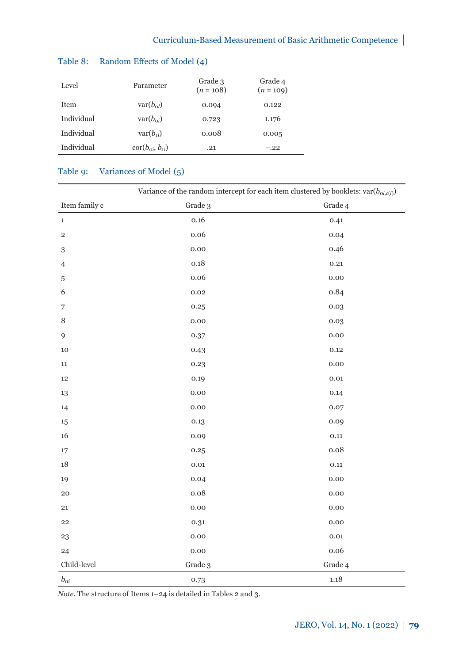| Level       | Parameter                                | Grade 3<br>$(n = 108)$ | Grade 4<br>$(n = 109)$ |
|-------------|------------------------------------------|------------------------|------------------------|
| <b>Item</b> | $\text{var}(b_{\Omega})$                 | 0.094                  | 0.122                  |
| Individual  | $var(b_{\alpha i})$                      | 0.723                  | 1.176                  |
| Individual  | $var(b_{ii})$                            | 0.008                  | 0.005                  |
| Individual  | $\text{cor}(b_{\alpha i}, b_{\alpha i})$ | .21                    | $-.22$                 |
|             |                                          |                        |                        |

## Table 8: Random Effects of Model (4)

## Table 9: Variances of Model (5)

|                  | Variance of the random intercept for each item clustered by booklets: $var(b_{ol, c(l)})$ |           |  |  |  |  |
|------------------|-------------------------------------------------------------------------------------------|-----------|--|--|--|--|
| Item family c    | Grade 3                                                                                   | Grade 4   |  |  |  |  |
| $\mathbf{1}$     | 0.16                                                                                      | 0.41      |  |  |  |  |
| $\,2$            | 0.06                                                                                      | 0.04      |  |  |  |  |
| 3                | 0.00                                                                                      | 0.46      |  |  |  |  |
| $\overline{4}$   | 0.18                                                                                      | 0.21      |  |  |  |  |
| $\sqrt{5}$       | 0.06                                                                                      | 0.00      |  |  |  |  |
| 6                | 0.02                                                                                      | 0.84      |  |  |  |  |
| 7                | 0.25                                                                                      | 0.03      |  |  |  |  |
| 8                | 0.00                                                                                      | 0.03      |  |  |  |  |
| 9                | 0.37                                                                                      | 0.00      |  |  |  |  |
| 10               | 0.43                                                                                      | 0.12      |  |  |  |  |
| 11               | 0.23                                                                                      | 0.00      |  |  |  |  |
| $12\,$           | 0.19                                                                                      | 0.01      |  |  |  |  |
| 13               | 0.00                                                                                      | 0.14      |  |  |  |  |
| 14               | 0.00                                                                                      | 0.07      |  |  |  |  |
| $15\,$           | 0.13                                                                                      | 0.09      |  |  |  |  |
| 16               | 0.09                                                                                      | 0.11      |  |  |  |  |
| 17               | 0.25                                                                                      | 0.08      |  |  |  |  |
| 18               | $_{0.01}$                                                                                 | 0.11      |  |  |  |  |
| 19               | 0.04                                                                                      | 0.00      |  |  |  |  |
| $\bf{20}$        | 0.08                                                                                      | 0.00      |  |  |  |  |
| ${\bf 21}$       | 0.00                                                                                      | 0.00      |  |  |  |  |
| 22               | 0.31                                                                                      | 0.00      |  |  |  |  |
| 23               | 0.00                                                                                      | $_{0.01}$ |  |  |  |  |
| 24               | 0.00                                                                                      | 0.06      |  |  |  |  |
| Child-level      | Grade 3                                                                                   | Grade 4   |  |  |  |  |
| $b_{\rm o\it i}$ | 0.73                                                                                      | 1.18      |  |  |  |  |

*Note.* The structure of Items 1–24 is detailed in Tables 2 and 3.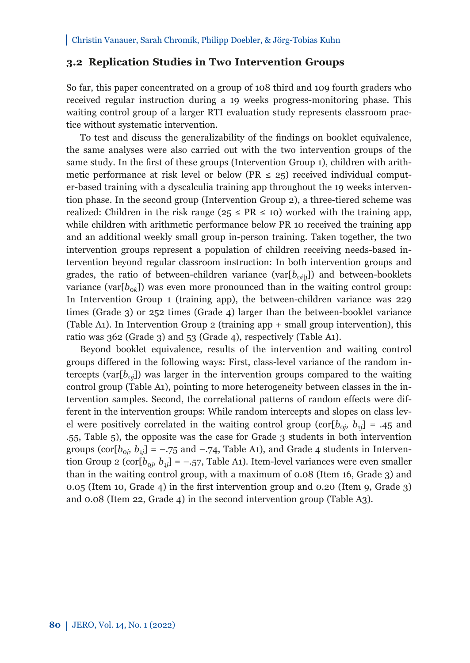### **3.2 Replication Studies in Two Intervention Groups**

So far, this paper concentrated on a group of 108 third and 109 fourth graders who received regular instruction during a 19 weeks progress-monitoring phase. This waiting control group of a larger RTI evaluation study represents classroom practice without systematic intervention.

To test and discuss the generalizability of the findings on booklet equivalence, the same analyses were also carried out with the two intervention groups of the same study. In the first of these groups (Intervention Group 1), children with arithmetic performance at risk level or below (PR  $\leq$  25) received individual computer-based training with a dyscalculia training app throughout the 19 weeks intervention phase. In the second group (Intervention Group 2), a three-tiered scheme was realized: Children in the risk range ( $25 \le PR \le 10$ ) worked with the training app, while children with arithmetic performance below PR 10 received the training app and an additional weekly small group in-person training. Taken together, the two intervention groups represent a population of children receiving needs-based intervention beyond regular classroom instruction: In both intervention groups and grades, the ratio of between-children variance  $(\text{var}[b_{\alpha i j}]$  and between-booklets variance (var $[b_{0k}]$ ) was even more pronounced than in the waiting control group: In Intervention Group 1 (training app), the between-children variance was 229 times (Grade 3) or 252 times (Grade 4) larger than the between-booklet variance (Table A1). In Intervention Group 2 (training app + small group intervention), this ratio was 362 (Grade 3) and 53 (Grade 4), respectively (Table A1).

Beyond booklet equivalence, results of the intervention and waiting control groups differed in the following ways: First, class-level variance of the random intercepts (var $[b_{oi}]$ ) was larger in the intervention groups compared to the waiting control group (Table A1), pointing to more heterogeneity between classes in the intervention samples. Second, the correlational patterns of random effects were different in the intervention groups: While random intercepts and slopes on class level were positively correlated in the waiting control group (cor $[b_{0j}, b_{1j}] = .45$  and .55, Table 5), the opposite was the case for Grade 3 students in both intervention groups (cor[ $b_{0i}$ ,  $b_{1i}$ ] = -.75 and -.74, Table A1), and Grade 4 students in Intervention Group 2 (cor $[b_{0j}, b_{1j}] = -.57$ , Table A1). Item-level variances were even smaller than in the waiting control group, with a maximum of 0.08 (Item 16, Grade 3) and 0.05 (Item 10, Grade 4) in the first intervention group and 0.20 (Item 9, Grade 3) and 0.08 (Item 22, Grade 4) in the second intervention group (Table A3).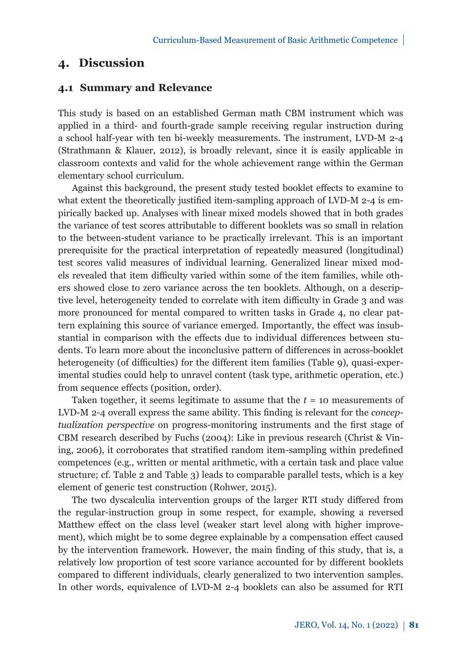## **4. Discussion**

## **4.1 Summary and Relevance**

This study is based on an established German math CBM instrument which was applied in a third- and fourth-grade sample receiving regular instruction during a school half-year with ten bi-weekly measurements. The instrument, LVD-M 2-4 (Strathmann & Klauer, 2012), is broadly relevant, since it is easily applicable in classroom contexts and valid for the whole achievement range within the German elementary school curriculum.

Against this background, the present study tested booklet effects to examine to what extent the theoretically justified item-sampling approach of LVD-M 2-4 is empirically backed up. Analyses with linear mixed models showed that in both grades the variance of test scores attributable to different booklets was so small in relation to the between-student variance to be practically irrelevant. This is an important prerequisite for the practical interpretation of repeatedly measured (longitudinal) test scores valid measures of individual learning. Generalized linear mixed models revealed that item difficulty varied within some of the item families, while others showed close to zero variance across the ten booklets. Although, on a descriptive level, heterogeneity tended to correlate with item difficulty in Grade 3 and was more pronounced for mental compared to written tasks in Grade 4, no clear pattern explaining this source of variance emerged. Importantly, the effect was insubstantial in comparison with the effects due to individual differences between students. To learn more about the inconclusive pattern of differences in across-booklet heterogeneity (of difficulties) for the different item families (Table 9), quasi-experimental studies could help to unravel content (task type, arithmetic operation, etc.) from sequence effects (position, order).

Taken together, it seems legitimate to assume that the *t* = 10 measurements of LVD-M 2-4 overall express the same ability. This finding is relevant for the *conceptualization perspective* on progress-monitoring instruments and the first stage of CBM research described by Fuchs (2004): Like in previous research (Christ & Vining, 2006), it corroborates that stratified random item-sampling within predefined competences (e.g., written or mental arithmetic, with a certain task and place value structure; cf. Table 2 and Table 3) leads to comparable parallel tests, which is a key element of generic test construction (Rohwer, 2015).

The two dyscalculia intervention groups of the larger RTI study differed from the regular-instruction group in some respect, for example, showing a reversed Matthew effect on the class level (weaker start level along with higher improvement), which might be to some degree explainable by a compensation effect caused by the intervention framework. However, the main finding of this study, that is, a relatively low proportion of test score variance accounted for by different booklets compared to different individuals, clearly generalized to two intervention samples. In other words, equivalence of LVD-M 2-4 booklets can also be assumed for RTI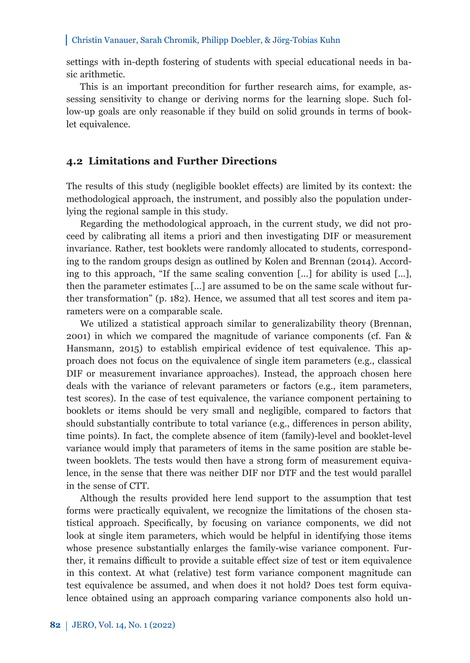settings with in-depth fostering of students with special educational needs in basic arithmetic.

This is an important precondition for further research aims, for example, assessing sensitivity to change or deriving norms for the learning slope. Such follow-up goals are only reasonable if they build on solid grounds in terms of booklet equivalence.

## **4.2 Limitations and Further Directions**

The results of this study (negligible booklet effects) are limited by its context: the methodological approach, the instrument, and possibly also the population underlying the regional sample in this study.

Regarding the methodological approach, in the current study, we did not proceed by calibrating all items a priori and then investigating DIF or measurement invariance. Rather, test booklets were randomly allocated to students, corresponding to the random groups design as outlined by Kolen and Brennan (2014). According to this approach, "If the same scaling convention [...] for ability is used [...], then the parameter estimates [...] are assumed to be on the same scale without further transformation" (p. 182). Hence, we assumed that all test scores and item parameters were on a comparable scale.

We utilized a statistical approach similar to generalizability theory (Brennan, 2001) in which we compared the magnitude of variance components (cf. Fan & Hansmann, 2015) to establish empirical evidence of test equivalence. This approach does not focus on the equivalence of single item parameters (e.g., classical DIF or measurement invariance approaches). Instead, the approach chosen here deals with the variance of relevant parameters or factors (e.g., item parameters, test scores). In the case of test equivalence, the variance component pertaining to booklets or items should be very small and negligible, compared to factors that should substantially contribute to total variance (e.g., differences in person ability, time points). In fact, the complete absence of item (family)-level and booklet-level variance would imply that parameters of items in the same position are stable between booklets. The tests would then have a strong form of measurement equivalence, in the sense that there was neither DIF nor DTF and the test would parallel in the sense of CTT.

Although the results provided here lend support to the assumption that test forms were practically equivalent, we recognize the limitations of the chosen statistical approach. Specifically, by focusing on variance components, we did not look at single item parameters, which would be helpful in identifying those items whose presence substantially enlarges the family-wise variance component. Further, it remains difficult to provide a suitable effect size of test or item equivalence in this context. At what (relative) test form variance component magnitude can test equivalence be assumed, and when does it not hold? Does test form equivalence obtained using an approach comparing variance components also hold un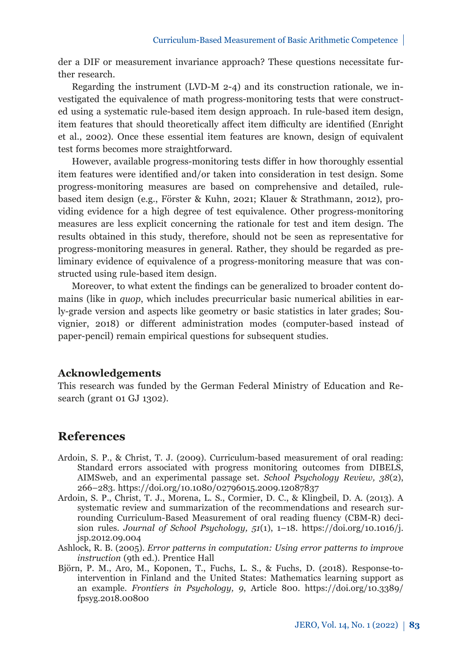der a DIF or measurement invariance approach? These questions necessitate further research.

Regarding the instrument (LVD-M 2-4) and its construction rationale, we investigated the equivalence of math progress-monitoring tests that were constructed using a systematic rule-based item design approach. In rule-based item design, item features that should theoretically affect item difficulty are identified (Enright et al., 2002). Once these essential item features are known, design of equivalent test forms becomes more straightforward.

However, available progress-monitoring tests differ in how thoroughly essential item features were identified and/or taken into consideration in test design. Some progress-monitoring measures are based on comprehensive and detailed, rulebased item design (e.g., Förster & Kuhn, 2021; Klauer & Strathmann, 2012), providing evidence for a high degree of test equivalence. Other progress-monitoring measures are less explicit concerning the rationale for test and item design. The results obtained in this study, therefore, should not be seen as representative for progress-monitoring measures in general. Rather, they should be regarded as preliminary evidence of equivalence of a progress-monitoring measure that was constructed using rule-based item design.

Moreover, to what extent the findings can be generalized to broader content domains (like in *quop*, which includes precurricular basic numerical abilities in early-grade version and aspects like geometry or basic statistics in later grades; Souvignier, 2018) or different administration modes (computer-based instead of paper-pencil) remain empirical questions for subsequent studies.

### **Acknowledgements**

This research was funded by the German Federal Ministry of Education and Research (grant 01 GJ 1302).

## **References**

- Ardoin, S. P., & Christ, T. J. (2009). Curriculum-based measurement of oral reading: Standard errors associated with progress monitoring outcomes from DIBELS, AIMSweb, and an experimental passage set. *School Psychology Review, 38*(2), 266–283. https://doi.org/10.1080/02796015.2009.12087837
- Ardoin, S. P., Christ, T. J., Morena, L. S., Cormier, D. C., & Klingbeil, D. A. (2013). A systematic review and summarization of the recommendations and research surrounding Curriculum-Based Measurement of oral reading fluency (CBM-R) decision rules. *Journal of School Psychology, 51*[\(1\), 1–18. https://doi.org/10.1016/j.](https://doi.org/10.1016/j.jsp.2012.09.004) jsp.2012.09.004
- Ashlock, R. B. (2005). *Error patterns in computation: Using error patterns to improve instruction* (9th ed.). Prentice Hall
- Björn, P. M., Aro, M., Koponen, T., Fuchs, L. S., & Fuchs, D. (2018). Response-tointervention in Finland and the United States: Mathematics learning support as an example. *Frontiers in Psychology, 9*[, Article 800. https://doi.org/10.3389/](https://doi.org/10.3389/fpsyg.2018.00800) fpsyg.2018.00800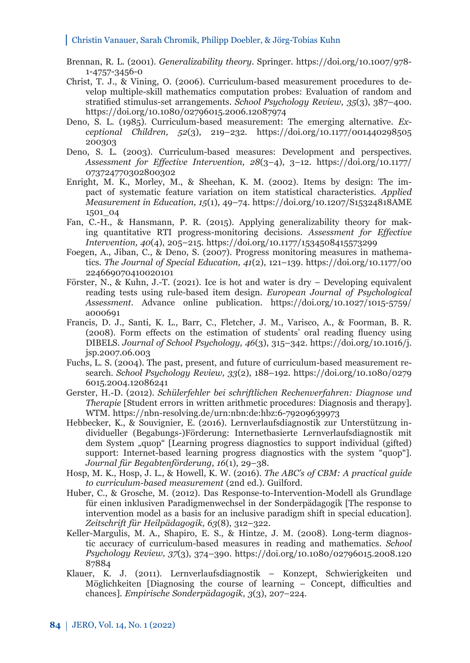- Brennan, R. L. (2001). *Generalizability theory*. Springer. https://doi.org/10.1007/978- 1-4757-3456-0
- Christ, T. J., & Vining, O. (2006). Curriculum-based measurement procedures to develop multiple-skill mathematics computation probes: Evaluation of random and stratified stimulus-set arrangements. *School Psychology Review, 35*(3), 387–400. https://doi.org/10.1080/02796015.2006.12087974
- Deno, S. L. (1985). Curriculum-based measurement: The emerging alternative. *Exceptional Children, 52*[\(3\), 219–232. https://doi.org/10.1177/001440298505](https://doi.org/10.1177/001440298505200303) 200303
- Deno, S. L. (2003). Curriculum-based measures: Development and perspectives. *[Assessment for Effective Intervention, 28](https://doi.org/10.1177/073724770302800302)*(3–4), 3–12. https://doi.org/10.1177/ 073724770302800302
- Enright, M. K., Morley, M., & Sheehan, K. M. (2002). Items by design: The impact of systematic feature variation on item statistical characteristics. *Applied Measurement in Education, 15*[\(1\), 49–74. https://doi.org/10.1207/S15324818AME](https://doi.org/10.1207/S15324818AME1501_04) 1501\_04
- Fan, C.-H., & Hansmann, P. R. (2015). Applying generalizability theory for making quantitative RTI progress-monitoring decisions. *Assessment for Effective Intervention, 40*(4), 205–215. https://doi.org/10.1177/1534508415573299
- Foegen, A., Jiban, C., & Deno, S. (2007). Progress monitoring measures in mathematics. *The Journal of Special Education, 41*[\(2\), 121–139. https://doi.org/10.1177/00](https://doi.org/10.1177/00224669070410020101) 224669070410020101
- Förster, N., & Kuhn, J.-T. (2021). Ice is hot and water is dry Developing equivalent reading tests using rule-based item design. *European Journal of Psychological Assessment.* [Advance online publication. https://doi.org/10.1027/1015-5759/](https://doi.org/10.1027/1015-5759/a000691) a000691
- Francis, D. J., Santi, K. L., Barr, C., Fletcher, J. M., Varisco, A., & Foorman, B. R. (2008). Form effects on the estimation of students' oral reading fluency using DIBELS. *Journal of School Psychology, 46*[\(3\), 315–342. https://doi.org/10.1016/j.](https://doi.org/10.1016/j.jsp.2007.06.003) jsp.2007.06.003
- Fuchs, L. S. (2004). The past, present, and future of curriculum-based measurement research. *School Psychology Review, 33*[\(2\), 188–192. https://doi.org/10.1080/0279](https://doi.org/10.1080/02796015.2004.12086241) 6015.2004.12086241
- Gerster, H.-D. (2012). *Schülerfehler bei schriftlichen Rechenverfahren: Diagnose und Therapie* [Student errors in written arithmetic procedures: Diagnosis and therapy]. WTM. https://nbn-resolving.de/urn:nbn:de:hbz:6-79209639973
- Hebbecker, K., & Souvignier, E. (2016). Lernverlaufsdiagnostik zur Unterstützung individueller (Begabungs-)Förderung: Internetbasierte Lernverlaufsdiagnostik mit dem System "quop" [Learning progress diagnostics to support individual (gifted) support: Internet-based learning progress diagnostics with the system "quop"]. *Journal für Begabtenförderung, 16*(1), 29–38.
- Hosp, M. K., Hosp, J. L., & Howell, K. W. (2016). *The ABC's of CBM: A practical guide to curriculum-based measurement* (2nd ed.). Guilford.
- Huber, C., & Grosche, M. (2012). Das Response-to-Intervention-Modell als Grundlage für einen inklusiven Paradigmenwechsel in der Sonderpädagogik [The response to intervention model as a basis for an inclusive paradigm shift in special education]. *Zeitschrift für Heilpädagogik, 63*(8), 312–322.
- Keller-Margulis, M. A., Shapiro, E. S., & Hintze, J. M. (2008). Long-term diagnostic accuracy of curriculum-based measures in reading and mathematics. *School Psychology Review, 37*[\(3\), 374–390. https://doi.org/10.1080/02796015.2008.120](https://doi.org/10.1080/02796015.2008.12087884) 87884
- Klauer, K. J. (2011). Lernverlaufsdiagnostik Konzept, Schwierigkeiten und Möglichkeiten [Diagnosing the course of learning – Concept, difficulties and chances]. *Empirische Sonderpädagogik, 3*(3), 207–224.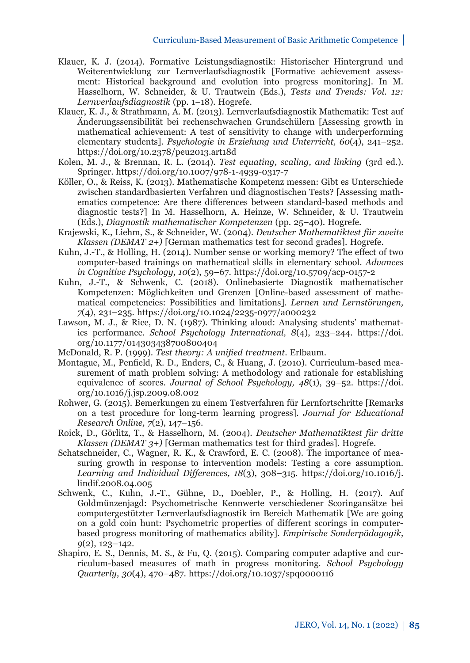- Klauer, K. J. (2014). Formative Leistungsdiagnostik: Historischer Hintergrund und Weiterentwicklung zur Lernverlaufsdiagnostik [Formative achievement assessment: Historical background and evolution into progress monitoring]. In M. Hasselhorn, W. Schneider, & U. Trautwein (Eds.), *Tests und Trends: Vol. 12: Lernverlaufsdiagnostik* (pp. 1–18). Hogrefe.
- Klauer, K. J., & Strathmann, A. M. (2013). Lernverlaufsdiagnostik Mathematik: Test auf Änderungssensibilität bei rechenschwachen Grundschülern [Assessing growth in mathematical achievement: A test of sensitivity to change with underperforming elementary students]. *Psychologie in Erziehung und Unterricht, 60*(4), 241–252. https://doi.org/10.2378/peu2013.art18d
- Kolen, M. J., & Brennan, R. L. (2014). *Test equating, scaling, and linking* (3rd ed.). Springer. https://doi.org/10.1007/978-1-4939-0317-7
- Köller, O., & Reiss, K. (2013). Mathematische Kompetenz messen: Gibt es Unterschiede zwischen standardbasierten Verfahren und diagnostischen Tests? [Assessing mathematics competence: Are there differences between standard-based methods and diagnostic tests?] In M. Hasselhorn, A. Heinze, W. Schneider, & U. Trautwein (Eds.), *Diagnostik mathematischer Kompetenzen* (pp. 25–40). Hogrefe.
- Krajewski, K., Liehm, S., & Schneider, W. (2004). *Deutscher Mathematiktest für zweite Klassen (DEMAT 2+)* [German mathematics test for second grades]. Hogrefe.
- Kuhn, J.-T., & Holling, H. (2014). Number sense or working memory? The effect of two computer-based trainings on mathematical skills in elementary school. *Advances in Cognitive Psychology, 10*(2), 59–67. https://doi.org/10.5709/acp-0157-2
- Kuhn, J.-T., & Schwenk, C. (2018). Onlinebasierte Diagnostik mathematischer Kompetenzen: Möglichkeiten und Grenzen [Online-based assessment of mathematical competencies: Possibilities and limitations]. *Lernen und Lernstörungen, 7*(4), 231–235. https://doi.org/10.1024/2235-0977/a000232
- Lawson, M. J., & Rice, D. N. (1987). Thinking aloud: Analysing students' mathematics performance. *[School Psychology International, 8](https://doi.org/10.1177/014303438700800404)*(4), 233–244. https://doi. org/10.1177/014303438700800404
- McDonald, R. P. (1999). *Test theory: A unified treatment*. Erlbaum.
- Montague, M., Penfield, R. D., Enders, C., & Huang, J. (2010). Curriculum-based measurement of math problem solving: A methodology and rationale for establishing equivalence of scores. *[Journal of School Psychology, 48](https://doi.org/10.1016/j.jsp.2009.08.002)*(1), 39–52. https://doi. org/10.1016/j.jsp.2009.08.002
- Rohwer, G. (2015). Bemerkungen zu einem Testverfahren für Lernfortschritte [Remarks on a test procedure for long-term learning progress]. *Journal for Educational Research Online, 7*(2), 147–156.
- Roick, D., Görlitz, T., & Hasselhorn, M. (2004). *Deutscher Mathematiktest für dritte Klassen (DEMAT 3+)* [German mathematics test for third grades]. Hogrefe.
- Schatschneider, C., Wagner, R. K., & Crawford, E. C. (2008). The importance of measuring growth in response to intervention models: Testing a core assumption. *[Learning and Individual Differences, 18](https://doi.org/10.1016/j.lindif.2008.04.005)*(3), 308–315. https://doi.org/10.1016/j. lindif.2008.04.005
- Schwenk, C., Kuhn, J.-T., Gühne, D., Doebler, P., & Holling, H. (2017). Auf Goldmünzenjagd: Psychometrische Kennwerte verschiedener Scoringansätze bei computergestützter Lernverlaufsdiagnostik im Bereich Mathematik [We are going on a gold coin hunt: Psychometric properties of different scorings in computerbased progress monitoring of mathematics ability]. *Empirische Sonderpädagogik, 9*(2), 123–142.
- Shapiro, E. S., Dennis, M. S., & Fu, Q. (2015). Comparing computer adaptive and curriculum-based measures of math in progress monitoring. *School Psychology Quarterly, 30*(4), 470–487. https://doi.org/10.1037/spq0000116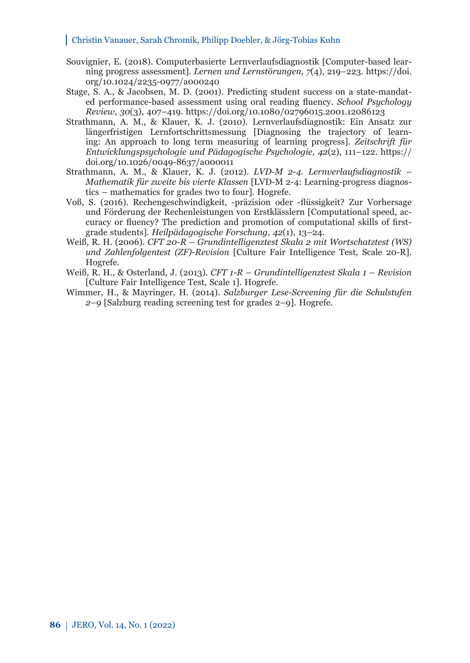- Souvignier, E. (2018). Computerbasierte Lernverlaufsdiagnostik [Computer-based learning progress assessment]. *Lernen und Lernstörungen, 7*(4), 219–223. https://doi. [org/10.1024/2235-0977/a000240](https://doi.org/10.1024/2235-0977/a000240)
- Stage, S. A., & Jacobsen, M. D. (2001). Predicting student success on a state-mandated performance-based assessment using oral reading fluency. *School Psychology Review, 30*(3), 407–419. https://doi.org/10.1080/02796015.2001.12086123
- Strathmann, A. M., & Klauer, K. J. (2010). Lernverlaufsdiagnostik: Ein Ansatz zur längerfristigen Lernfortschrittsmessung [Diagnosing the trajectory of learning: An approach to long term measuring of learning progress]. *Zeitschrift für Entwicklungspsychologie und Pädagogische Psychologie, 42*(2), 111–122. https:// doi.org/10.1026/0049-8637/a000011
- Strathmann, A. M., & Klauer, K. J. (2012). *LVD-M 2-4. Lernverlaufsdiagnostik Mathematik für zweite bis vierte Klassen* [LVD-M 2-4: Learning-progress diagnostics – mathematics for grades two to four]. Hogrefe.
- Voß, S. (2016). Rechengeschwindigkeit, -präzision oder -flüssigkeit? Zur Vorhersage und Förderung der Rechenleistungen von Erstklässlern [Computational speed, accuracy or fluency? The prediction and promotion of computational skills of firstgrade students]. *Heilpädagogische Forschung, 42*(1), 13–24.
- Weiß, R. H. (2006). *CFT 20-R Grundintelligenztest Skala 2 mit Wortschatztest (WS) und Zahlenfolgentest (ZF)-Revision* [Culture Fair Intelligence Test, Scale 20-R]. Hogrefe.
- Weiß, R. H., & Osterland, J. (2013). *CFT 1-R Grundintelligenztest Skala 1 Revision*  [Culture Fair Intelligence Test, Scale 1]. Hogrefe.
- Wimmer, H., & Mayringer, H. (2014). *Salzburger Lese-Screening für die Schulstufen 2–9* [Salzburg reading screening test for grades 2–9]. Hogrefe.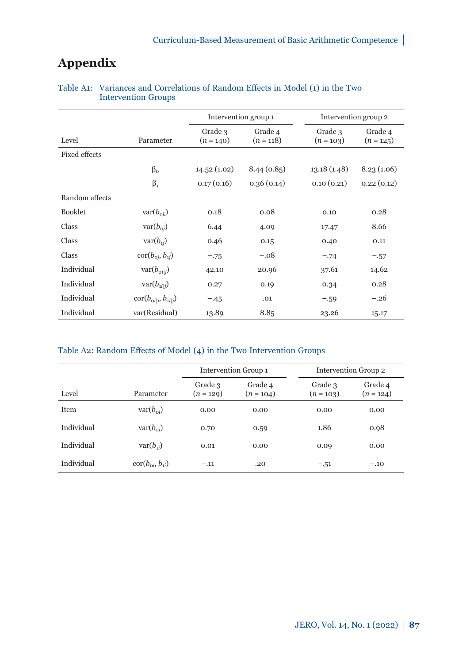# **Appendix**

|                      |                                                | Intervention group 1   |                        | Intervention group 2   |                        |
|----------------------|------------------------------------------------|------------------------|------------------------|------------------------|------------------------|
| Level                | Parameter                                      | Grade 3<br>$(n = 140)$ | Grade 4<br>$(n = 118)$ | Grade 3<br>$(n = 103)$ | Grade 4<br>$(n = 125)$ |
| <b>Fixed effects</b> |                                                |                        |                        |                        |                        |
|                      | $\beta_{0}$                                    | 14.52(1.02)            | 8.44(0.85)             | 13.18(1.48)            | 8.23(1.06)             |
|                      | $\beta_1$                                      | 0.17(0.16)             | 0.36(0.14)             | 0.10(0.21)             | 0.22(0.12)             |
| Random effects       |                                                |                        |                        |                        |                        |
| <b>Booklet</b>       | $\text{var}(b_{\text{ok}})$                    | 0.18                   | 0.08                   | 0.10                   | 0.28                   |
| Class                | $\text{var}(b_{\text{o}i})$                    | 6.44                   | 4.09                   | 17.47                  | 8.66                   |
| Class                | $var(b_{1i})$                                  | 0.46                   | 0.15                   | 0.40                   | 0.11                   |
| Class                | $\text{cor}(b_{\text{o}i}, b_{\text{i}i})$     | $-.75$                 | $-.08$                 | $-.74$                 | $-.57$                 |
| Individual           | $\text{var}(b_{\text{oil}})$                   | 42.10                  | 20.96                  | 37.61                  | 14.62                  |
| Individual           | $var(b_{ii i})$                                | 0.27                   | 0.19                   | 0.34                   | 0.28                   |
| Individual           | $\text{cor}(b_{\text{o}i i}, b_{\text{i}i i})$ | $-.45$                 | .01                    | $-.59$                 | $-.26$                 |
| Individual           | var(Residual)                                  | 13.89                  | 8.85                   | 23.26                  | 15.17                  |

## Table A1: Variances and Correlations of Random Effects in Model (1) in the Two Intervention Groups

#### Table A2: Random Effects of Model (4) in the Two Intervention Groups

|            |                                                  | Intervention Group 1   |                        |                        | Intervention Group 2   |
|------------|--------------------------------------------------|------------------------|------------------------|------------------------|------------------------|
| Level      | Parameter                                        | Grade 3<br>$(n = 129)$ | Grade 4<br>$(n = 104)$ | Grade 3<br>$(n = 103)$ | Grade 4<br>$(n = 124)$ |
| Item       | $var(b_{ol})$                                    | 0.00                   | 0.00                   | 0.00                   | 0.00                   |
| Individual | $\text{var}(b_{\alpha i})$                       | 0.70                   | 0.59                   | 1.86                   | 0.98                   |
| Individual | $var(b_{ii})$                                    | 0.01                   | 0.00                   | 0.09                   | 0.00                   |
| Individual | $\operatorname{cor}(b_{\alpha i}, b_{\alpha i})$ | $-.11$                 | .20                    | $-.51$                 | $-.10$                 |